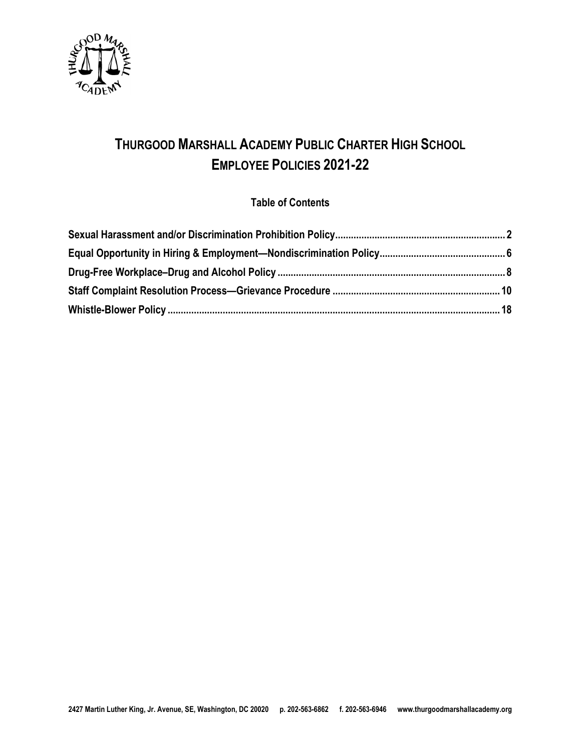

# **THURGOOD MARSHALL ACADEMY PUBLIC CHARTER HIGH SCHOOL EMPLOYEE POLICIES 2021-22**

**Table of Contents**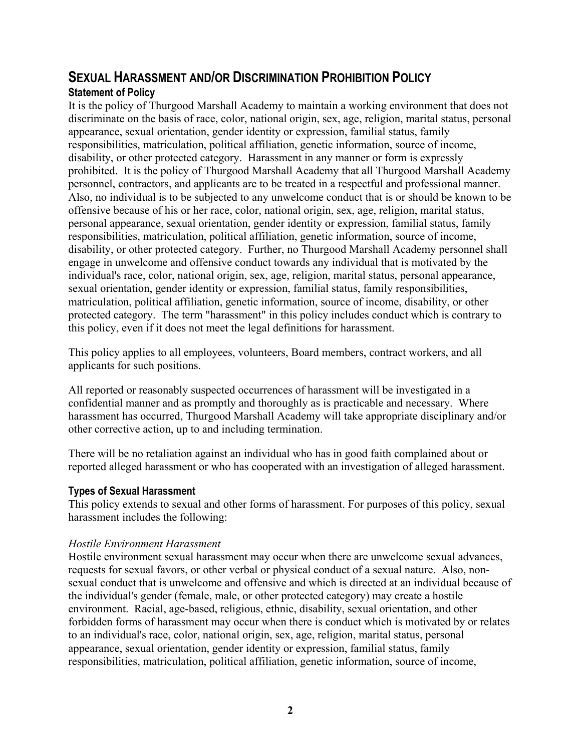# **SEXUAL HARASSMENT AND/OR DISCRIMINATION PROHIBITION POLICY Statement of Policy**

It is the policy of Thurgood Marshall Academy to maintain a working environment that does not discriminate on the basis of race, color, national origin, sex, age, religion, marital status, personal appearance, sexual orientation, gender identity or expression, familial status, family responsibilities, matriculation, political affiliation, genetic information, source of income, disability, or other protected category. Harassment in any manner or form is expressly prohibited. It is the policy of Thurgood Marshall Academy that all Thurgood Marshall Academy personnel, contractors, and applicants are to be treated in a respectful and professional manner. Also, no individual is to be subjected to any unwelcome conduct that is or should be known to be offensive because of his or her race, color, national origin, sex, age, religion, marital status, personal appearance, sexual orientation, gender identity or expression, familial status, family responsibilities, matriculation, political affiliation, genetic information, source of income, disability, or other protected category. Further, no Thurgood Marshall Academy personnel shall engage in unwelcome and offensive conduct towards any individual that is motivated by the individual's race, color, national origin, sex, age, religion, marital status, personal appearance, sexual orientation, gender identity or expression, familial status, family responsibilities, matriculation, political affiliation, genetic information, source of income, disability, or other protected category. The term "harassment" in this policy includes conduct which is contrary to this policy, even if it does not meet the legal definitions for harassment.

This policy applies to all employees, volunteers, Board members, contract workers, and all applicants for such positions.

All reported or reasonably suspected occurrences of harassment will be investigated in a confidential manner and as promptly and thoroughly as is practicable and necessary. Where harassment has occurred, Thurgood Marshall Academy will take appropriate disciplinary and/or other corrective action, up to and including termination.

There will be no retaliation against an individual who has in good faith complained about or reported alleged harassment or who has cooperated with an investigation of alleged harassment.

### **Types of Sexual Harassment**

This policy extends to sexual and other forms of harassment. For purposes of this policy, sexual harassment includes the following:

### *Hostile Environment Harassment*

Hostile environment sexual harassment may occur when there are unwelcome sexual advances, requests for sexual favors, or other verbal or physical conduct of a sexual nature. Also, nonsexual conduct that is unwelcome and offensive and which is directed at an individual because of the individual's gender (female, male, or other protected category) may create a hostile environment. Racial, age-based, religious, ethnic, disability, sexual orientation, and other forbidden forms of harassment may occur when there is conduct which is motivated by or relates to an individual's race, color, national origin, sex, age, religion, marital status, personal appearance, sexual orientation, gender identity or expression, familial status, family responsibilities, matriculation, political affiliation, genetic information, source of income,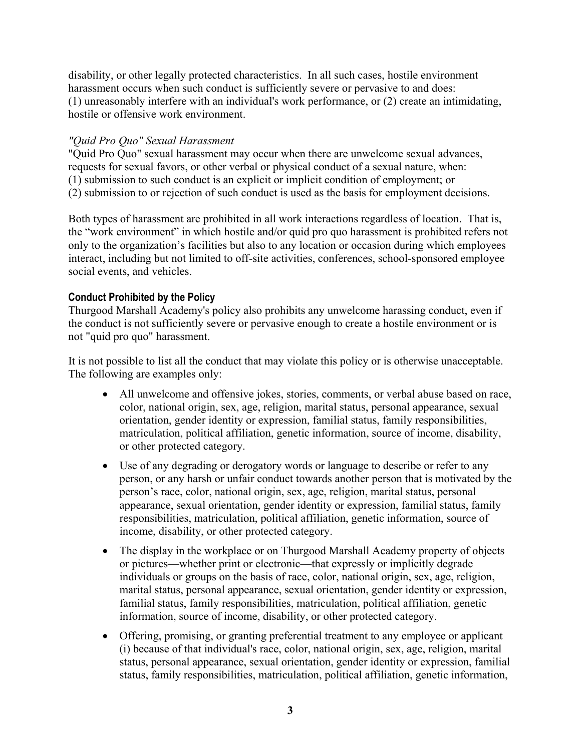disability, or other legally protected characteristics. In all such cases, hostile environment harassment occurs when such conduct is sufficiently severe or pervasive to and does: (1) unreasonably interfere with an individual's work performance, or (2) create an intimidating, hostile or offensive work environment.

### *"Quid Pro Quo" Sexual Harassment*

"Quid Pro Quo" sexual harassment may occur when there are unwelcome sexual advances, requests for sexual favors, or other verbal or physical conduct of a sexual nature, when: (1) submission to such conduct is an explicit or implicit condition of employment; or (2) submission to or rejection of such conduct is used as the basis for employment decisions.

Both types of harassment are prohibited in all work interactions regardless of location. That is, the "work environment" in which hostile and/or quid pro quo harassment is prohibited refers not only to the organization's facilities but also to any location or occasion during which employees interact, including but not limited to off-site activities, conferences, school-sponsored employee social events, and vehicles.

## **Conduct Prohibited by the Policy**

Thurgood Marshall Academy's policy also prohibits any unwelcome harassing conduct, even if the conduct is not sufficiently severe or pervasive enough to create a hostile environment or is not "quid pro quo" harassment.

It is not possible to list all the conduct that may violate this policy or is otherwise unacceptable. The following are examples only:

- All unwelcome and offensive jokes, stories, comments, or verbal abuse based on race, color, national origin, sex, age, religion, marital status, personal appearance, sexual orientation, gender identity or expression, familial status, family responsibilities, matriculation, political affiliation, genetic information, source of income, disability, or other protected category.
- Use of any degrading or derogatory words or language to describe or refer to any person, or any harsh or unfair conduct towards another person that is motivated by the person's race, color, national origin, sex, age, religion, marital status, personal appearance, sexual orientation, gender identity or expression, familial status, family responsibilities, matriculation, political affiliation, genetic information, source of income, disability, or other protected category.
- The display in the workplace or on Thurgood Marshall Academy property of objects or pictures—whether print or electronic—that expressly or implicitly degrade individuals or groups on the basis of race, color, national origin, sex, age, religion, marital status, personal appearance, sexual orientation, gender identity or expression, familial status, family responsibilities, matriculation, political affiliation, genetic information, source of income, disability, or other protected category.
- Offering, promising, or granting preferential treatment to any employee or applicant (i) because of that individual's race, color, national origin, sex, age, religion, marital status, personal appearance, sexual orientation, gender identity or expression, familial status, family responsibilities, matriculation, political affiliation, genetic information,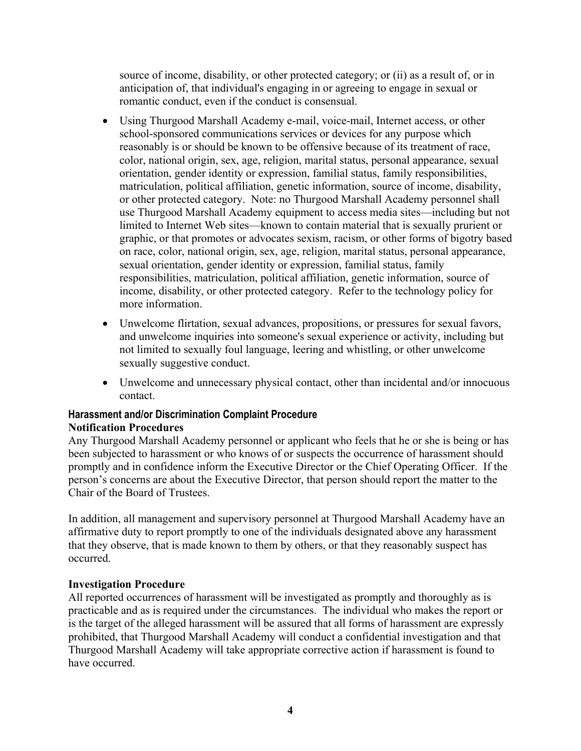source of income, disability, or other protected category; or (ii) as a result of, or in anticipation of, that individual's engaging in or agreeing to engage in sexual or romantic conduct, even if the conduct is consensual.

- Using Thurgood Marshall Academy e-mail, voice-mail, Internet access, or other school-sponsored communications services or devices for any purpose which reasonably is or should be known to be offensive because of its treatment of race, color, national origin, sex, age, religion, marital status, personal appearance, sexual orientation, gender identity or expression, familial status, family responsibilities, matriculation, political affiliation, genetic information, source of income, disability, or other protected category. Note: no Thurgood Marshall Academy personnel shall use Thurgood Marshall Academy equipment to access media sites—including but not limited to Internet Web sites—known to contain material that is sexually prurient or graphic, or that promotes or advocates sexism, racism, or other forms of bigotry based on race, color, national origin, sex, age, religion, marital status, personal appearance, sexual orientation, gender identity or expression, familial status, family responsibilities, matriculation, political affiliation, genetic information, source of income, disability, or other protected category. Refer to the technology policy for more information.
- Unwelcome flirtation, sexual advances, propositions, or pressures for sexual favors, and unwelcome inquiries into someone's sexual experience or activity, including but not limited to sexually foul language, leering and whistling, or other unwelcome sexually suggestive conduct.
- Unwelcome and unnecessary physical contact, other than incidental and/or innocuous contact.

#### **Harassment and/or Discrimination Complaint Procedure Notification Procedures**

Any Thurgood Marshall Academy personnel or applicant who feels that he or she is being or has been subjected to harassment or who knows of or suspects the occurrence of harassment should promptly and in confidence inform the Executive Director or the Chief Operating Officer. If the person's concerns are about the Executive Director, that person should report the matter to the Chair of the Board of Trustees.

In addition, all management and supervisory personnel at Thurgood Marshall Academy have an affirmative duty to report promptly to one of the individuals designated above any harassment that they observe, that is made known to them by others, or that they reasonably suspect has occurred.

### **Investigation Procedure**

All reported occurrences of harassment will be investigated as promptly and thoroughly as is practicable and as is required under the circumstances. The individual who makes the report or is the target of the alleged harassment will be assured that all forms of harassment are expressly prohibited, that Thurgood Marshall Academy will conduct a confidential investigation and that Thurgood Marshall Academy will take appropriate corrective action if harassment is found to have occurred.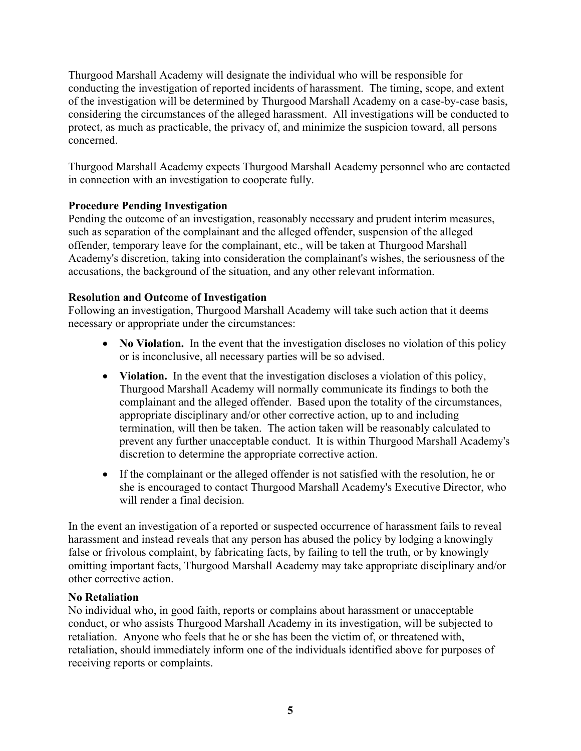Thurgood Marshall Academy will designate the individual who will be responsible for conducting the investigation of reported incidents of harassment. The timing, scope, and extent of the investigation will be determined by Thurgood Marshall Academy on a case-by-case basis, considering the circumstances of the alleged harassment. All investigations will be conducted to protect, as much as practicable, the privacy of, and minimize the suspicion toward, all persons concerned.

Thurgood Marshall Academy expects Thurgood Marshall Academy personnel who are contacted in connection with an investigation to cooperate fully.

### **Procedure Pending Investigation**

Pending the outcome of an investigation, reasonably necessary and prudent interim measures, such as separation of the complainant and the alleged offender, suspension of the alleged offender, temporary leave for the complainant, etc., will be taken at Thurgood Marshall Academy's discretion, taking into consideration the complainant's wishes, the seriousness of the accusations, the background of the situation, and any other relevant information.

### **Resolution and Outcome of Investigation**

Following an investigation, Thurgood Marshall Academy will take such action that it deems necessary or appropriate under the circumstances:

- No Violation. In the event that the investigation discloses no violation of this policy or is inconclusive, all necessary parties will be so advised.
- **Violation.** In the event that the investigation discloses a violation of this policy, Thurgood Marshall Academy will normally communicate its findings to both the complainant and the alleged offender. Based upon the totality of the circumstances, appropriate disciplinary and/or other corrective action, up to and including termination, will then be taken. The action taken will be reasonably calculated to prevent any further unacceptable conduct. It is within Thurgood Marshall Academy's discretion to determine the appropriate corrective action.
- If the complainant or the alleged offender is not satisfied with the resolution, he or she is encouraged to contact Thurgood Marshall Academy's Executive Director, who will render a final decision.

In the event an investigation of a reported or suspected occurrence of harassment fails to reveal harassment and instead reveals that any person has abused the policy by lodging a knowingly false or frivolous complaint, by fabricating facts, by failing to tell the truth, or by knowingly omitting important facts, Thurgood Marshall Academy may take appropriate disciplinary and/or other corrective action.

### **No Retaliation**

No individual who, in good faith, reports or complains about harassment or unacceptable conduct, or who assists Thurgood Marshall Academy in its investigation, will be subjected to retaliation. Anyone who feels that he or she has been the victim of, or threatened with, retaliation, should immediately inform one of the individuals identified above for purposes of receiving reports or complaints.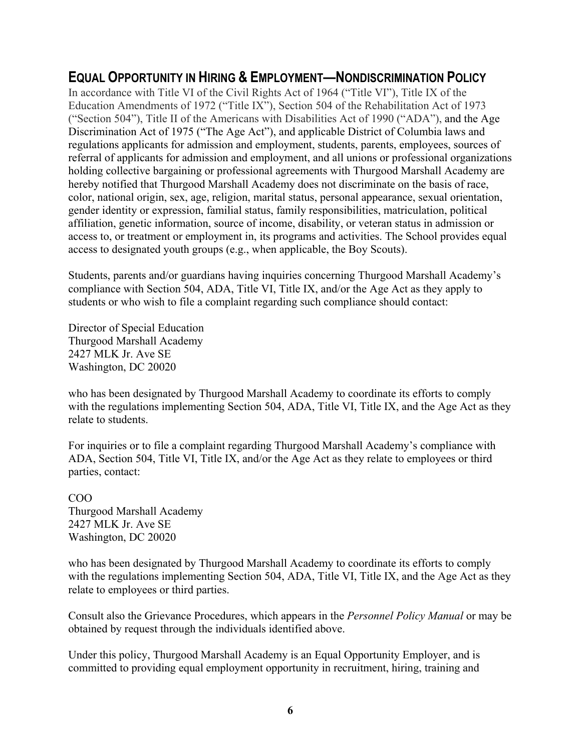# **EQUAL OPPORTUNITY IN HIRING & EMPLOYMENT—NONDISCRIMINATION POLICY**

In accordance with Title VI of the Civil Rights Act of 1964 ("Title VI"), Title IX of the Education Amendments of 1972 ("Title IX"), Section 504 of the Rehabilitation Act of 1973 ("Section 504"), Title II of the Americans with Disabilities Act of 1990 ("ADA"), and the Age Discrimination Act of 1975 ("The Age Act"), and applicable District of Columbia laws and regulations applicants for admission and employment, students, parents, employees, sources of referral of applicants for admission and employment, and all unions or professional organizations holding collective bargaining or professional agreements with Thurgood Marshall Academy are hereby notified that Thurgood Marshall Academy does not discriminate on the basis of race, color, national origin, sex, age, religion, marital status, personal appearance, sexual orientation, gender identity or expression, familial status, family responsibilities, matriculation, political affiliation, genetic information, source of income, disability, or veteran status in admission or access to, or treatment or employment in, its programs and activities. The School provides equal access to designated youth groups (e.g., when applicable, the Boy Scouts).

Students, parents and/or guardians having inquiries concerning Thurgood Marshall Academy's compliance with Section 504, ADA, Title VI, Title IX, and/or the Age Act as they apply to students or who wish to file a complaint regarding such compliance should contact:

Director of Special Education Thurgood Marshall Academy 2427 MLK Jr. Ave SE Washington, DC 20020

who has been designated by Thurgood Marshall Academy to coordinate its efforts to comply with the regulations implementing Section 504, ADA, Title VI, Title IX, and the Age Act as they relate to students.

For inquiries or to file a complaint regarding Thurgood Marshall Academy's compliance with ADA, Section 504, Title VI, Title IX, and/or the Age Act as they relate to employees or third parties, contact:

COO Thurgood Marshall Academy 2427 MLK Jr. Ave SE Washington, DC 20020

who has been designated by Thurgood Marshall Academy to coordinate its efforts to comply with the regulations implementing Section 504, ADA, Title VI, Title IX, and the Age Act as they relate to employees or third parties.

Consult also the Grievance Procedures, which appears in the *Personnel Policy Manual* or may be obtained by request through the individuals identified above.

Under this policy, Thurgood Marshall Academy is an Equal Opportunity Employer, and is committed to providing equal employment opportunity in recruitment, hiring, training and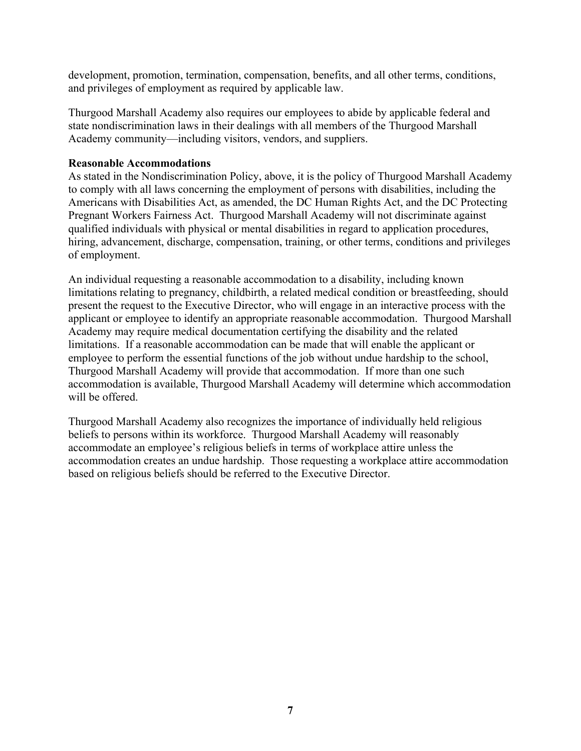development, promotion, termination, compensation, benefits, and all other terms, conditions, and privileges of employment as required by applicable law.

Thurgood Marshall Academy also requires our employees to abide by applicable federal and state nondiscrimination laws in their dealings with all members of the Thurgood Marshall Academy community—including visitors, vendors, and suppliers.

#### **Reasonable Accommodations**

As stated in the Nondiscrimination Policy, above, it is the policy of Thurgood Marshall Academy to comply with all laws concerning the employment of persons with disabilities, including the Americans with Disabilities Act, as amended, the DC Human Rights Act, and the DC Protecting Pregnant Workers Fairness Act. Thurgood Marshall Academy will not discriminate against qualified individuals with physical or mental disabilities in regard to application procedures, hiring, advancement, discharge, compensation, training, or other terms, conditions and privileges of employment.

An individual requesting a reasonable accommodation to a disability, including known limitations relating to pregnancy, childbirth, a related medical condition or breastfeeding, should present the request to the Executive Director, who will engage in an interactive process with the applicant or employee to identify an appropriate reasonable accommodation. Thurgood Marshall Academy may require medical documentation certifying the disability and the related limitations. If a reasonable accommodation can be made that will enable the applicant or employee to perform the essential functions of the job without undue hardship to the school, Thurgood Marshall Academy will provide that accommodation. If more than one such accommodation is available, Thurgood Marshall Academy will determine which accommodation will be offered.

Thurgood Marshall Academy also recognizes the importance of individually held religious beliefs to persons within its workforce. Thurgood Marshall Academy will reasonably accommodate an employee's religious beliefs in terms of workplace attire unless the accommodation creates an undue hardship. Those requesting a workplace attire accommodation based on religious beliefs should be referred to the Executive Director.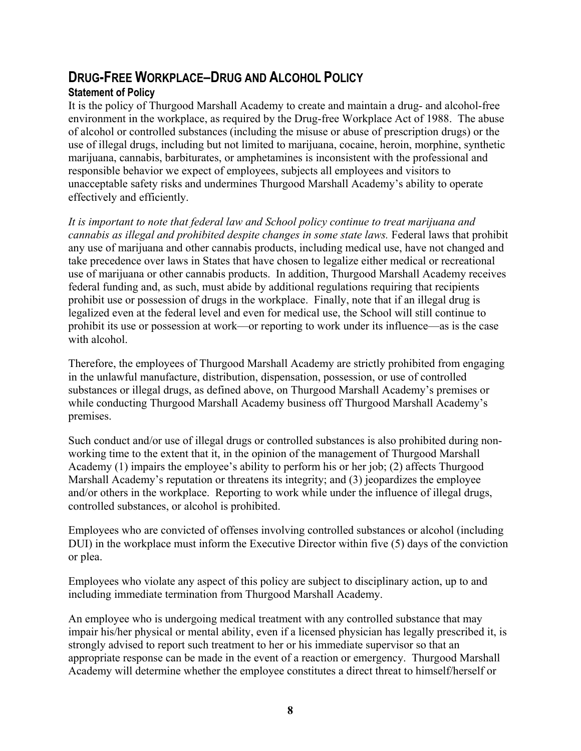# **DRUG-FREE WORKPLACE–DRUG AND ALCOHOL POLICY Statement of Policy**

It is the policy of Thurgood Marshall Academy to create and maintain a drug- and alcohol-free environment in the workplace, as required by the Drug-free Workplace Act of 1988. The abuse of alcohol or controlled substances (including the misuse or abuse of prescription drugs) or the use of illegal drugs, including but not limited to marijuana, cocaine, heroin, morphine, synthetic marijuana, cannabis, barbiturates, or amphetamines is inconsistent with the professional and responsible behavior we expect of employees, subjects all employees and visitors to unacceptable safety risks and undermines Thurgood Marshall Academy's ability to operate effectively and efficiently.

*It is important to note that federal law and School policy continue to treat marijuana and cannabis as illegal and prohibited despite changes in some state laws.* Federal laws that prohibit any use of marijuana and other cannabis products, including medical use, have not changed and take precedence over laws in States that have chosen to legalize either medical or recreational use of marijuana or other cannabis products. In addition, Thurgood Marshall Academy receives federal funding and, as such, must abide by additional regulations requiring that recipients prohibit use or possession of drugs in the workplace. Finally, note that if an illegal drug is legalized even at the federal level and even for medical use, the School will still continue to prohibit its use or possession at work—or reporting to work under its influence—as is the case with alcohol.

Therefore, the employees of Thurgood Marshall Academy are strictly prohibited from engaging in the unlawful manufacture, distribution, dispensation, possession, or use of controlled substances or illegal drugs, as defined above, on Thurgood Marshall Academy's premises or while conducting Thurgood Marshall Academy business off Thurgood Marshall Academy's premises.

Such conduct and/or use of illegal drugs or controlled substances is also prohibited during nonworking time to the extent that it, in the opinion of the management of Thurgood Marshall Academy (1) impairs the employee's ability to perform his or her job; (2) affects Thurgood Marshall Academy's reputation or threatens its integrity; and (3) jeopardizes the employee and/or others in the workplace. Reporting to work while under the influence of illegal drugs, controlled substances, or alcohol is prohibited.

Employees who are convicted of offenses involving controlled substances or alcohol (including DUI) in the workplace must inform the Executive Director within five (5) days of the conviction or plea.

Employees who violate any aspect of this policy are subject to disciplinary action, up to and including immediate termination from Thurgood Marshall Academy.

An employee who is undergoing medical treatment with any controlled substance that may impair his/her physical or mental ability, even if a licensed physician has legally prescribed it, is strongly advised to report such treatment to her or his immediate supervisor so that an appropriate response can be made in the event of a reaction or emergency.Thurgood Marshall Academy will determine whether the employee constitutes a direct threat to himself/herself or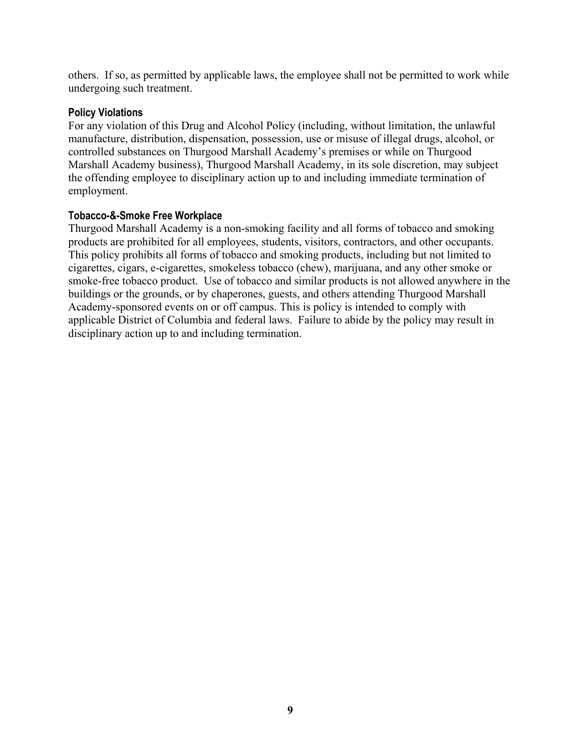others. If so, as permitted by applicable laws, the employee shall not be permitted to work while undergoing such treatment.

#### **Policy Violations**

For any violation of this Drug and Alcohol Policy (including, without limitation, the unlawful manufacture, distribution, dispensation, possession, use or misuse of illegal drugs, alcohol, or controlled substances on Thurgood Marshall Academy's premises or while on Thurgood Marshall Academy business), Thurgood Marshall Academy, in its sole discretion, may subject the offending employee to disciplinary action up to and including immediate termination of employment.

### **Tobacco-&-Smoke Free Workplace**

Thurgood Marshall Academy is a non-smoking facility and all forms of tobacco and smoking products are prohibited for all employees, students, visitors, contractors, and other occupants. This policy prohibits all forms of tobacco and smoking products, including but not limited to cigarettes, cigars, e-cigarettes, smokeless tobacco (chew), marijuana, and any other smoke or smoke-free tobacco product. Use of tobacco and similar products is not allowed anywhere in the buildings or the grounds, or by chaperones, guests, and others attending Thurgood Marshall Academy-sponsored events on or off campus. This is policy is intended to comply with applicable District of Columbia and federal laws. Failure to abide by the policy may result in disciplinary action up to and including termination.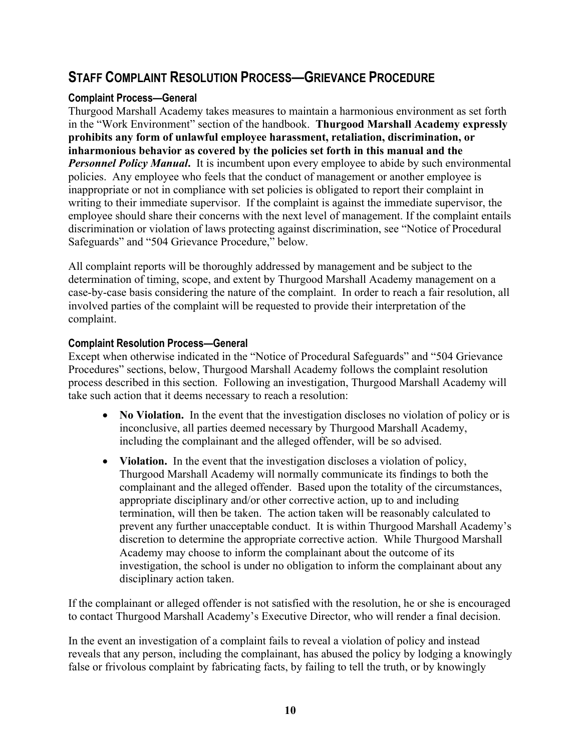# **STAFF COMPLAINT RESOLUTION PROCESS—GRIEVANCE PROCEDURE**

## **Complaint Process—General**

Thurgood Marshall Academy takes measures to maintain a harmonious environment as set forth in the "Work Environment" section of the handbook. **Thurgood Marshall Academy expressly prohibits any form of unlawful employee harassment, retaliation, discrimination, or inharmonious behavior as covered by the policies set forth in this manual and the Personnel Policy Manual.** It is incumbent upon every employee to abide by such environmental policies. Any employee who feels that the conduct of management or another employee is inappropriate or not in compliance with set policies is obligated to report their complaint in writing to their immediate supervisor. If the complaint is against the immediate supervisor, the employee should share their concerns with the next level of management. If the complaint entails discrimination or violation of laws protecting against discrimination, see "Notice of Procedural Safeguards" and "504 Grievance Procedure," below.

All complaint reports will be thoroughly addressed by management and be subject to the determination of timing, scope, and extent by Thurgood Marshall Academy management on a case-by-case basis considering the nature of the complaint. In order to reach a fair resolution, all involved parties of the complaint will be requested to provide their interpretation of the complaint.

## **Complaint Resolution Process—General**

Except when otherwise indicated in the "Notice of Procedural Safeguards" and "504 Grievance Procedures" sections, below, Thurgood Marshall Academy follows the complaint resolution process described in this section. Following an investigation, Thurgood Marshall Academy will take such action that it deems necessary to reach a resolution:

- No Violation. In the event that the investigation discloses no violation of policy or is inconclusive, all parties deemed necessary by Thurgood Marshall Academy, including the complainant and the alleged offender, will be so advised.
- Violation. In the event that the investigation discloses a violation of policy, Thurgood Marshall Academy will normally communicate its findings to both the complainant and the alleged offender. Based upon the totality of the circumstances, appropriate disciplinary and/or other corrective action, up to and including termination, will then be taken. The action taken will be reasonably calculated to prevent any further unacceptable conduct. It is within Thurgood Marshall Academy's discretion to determine the appropriate corrective action. While Thurgood Marshall Academy may choose to inform the complainant about the outcome of its investigation, the school is under no obligation to inform the complainant about any disciplinary action taken.

If the complainant or alleged offender is not satisfied with the resolution, he or she is encouraged to contact Thurgood Marshall Academy's Executive Director, who will render a final decision.

In the event an investigation of a complaint fails to reveal a violation of policy and instead reveals that any person, including the complainant, has abused the policy by lodging a knowingly false or frivolous complaint by fabricating facts, by failing to tell the truth, or by knowingly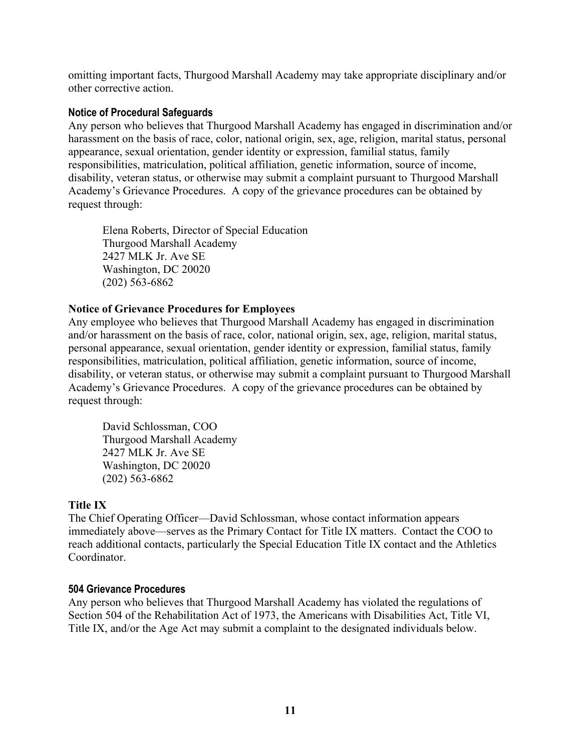omitting important facts, Thurgood Marshall Academy may take appropriate disciplinary and/or other corrective action.

#### **Notice of Procedural Safeguards**

Any person who believes that Thurgood Marshall Academy has engaged in discrimination and/or harassment on the basis of race, color, national origin, sex, age, religion, marital status, personal appearance, sexual orientation, gender identity or expression, familial status, family responsibilities, matriculation, political affiliation, genetic information, source of income, disability, veteran status, or otherwise may submit a complaint pursuant to Thurgood Marshall Academy's Grievance Procedures. A copy of the grievance procedures can be obtained by request through:

Elena Roberts, Director of Special Education Thurgood Marshall Academy 2427 MLK Jr. Ave SE Washington, DC 20020 (202) 563-6862

#### **Notice of Grievance Procedures for Employees**

Any employee who believes that Thurgood Marshall Academy has engaged in discrimination and/or harassment on the basis of race, color, national origin, sex, age, religion, marital status, personal appearance, sexual orientation, gender identity or expression, familial status, family responsibilities, matriculation, political affiliation, genetic information, source of income, disability, or veteran status, or otherwise may submit a complaint pursuant to Thurgood Marshall Academy's Grievance Procedures. A copy of the grievance procedures can be obtained by request through:

David Schlossman, COO Thurgood Marshall Academy 2427 MLK Jr. Ave SE Washington, DC 20020 (202) 563-6862

### **Title IX**

The Chief Operating Officer—David Schlossman, whose contact information appears immediately above—serves as the Primary Contact for Title IX matters. Contact the COO to reach additional contacts, particularly the Special Education Title IX contact and the Athletics Coordinator.

### **504 Grievance Procedures**

Any person who believes that Thurgood Marshall Academy has violated the regulations of Section 504 of the Rehabilitation Act of 1973, the Americans with Disabilities Act, Title VI, Title IX, and/or the Age Act may submit a complaint to the designated individuals below.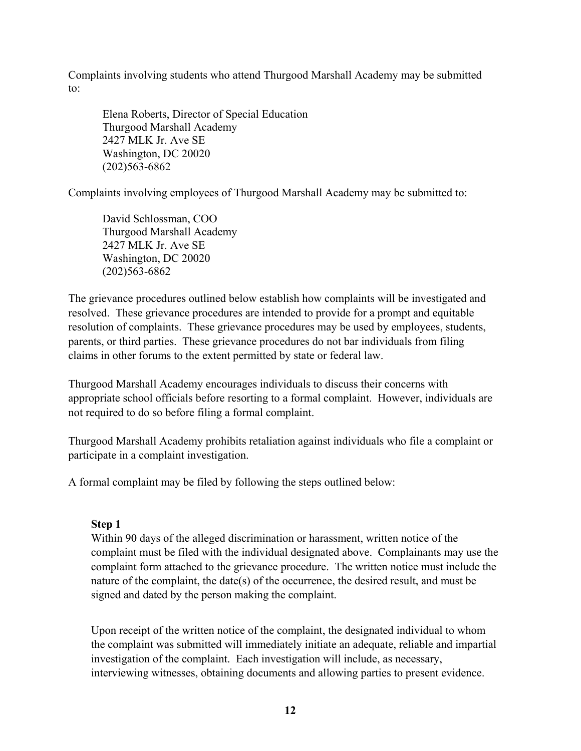Complaints involving students who attend Thurgood Marshall Academy may be submitted to:

Elena Roberts, Director of Special Education Thurgood Marshall Academy 2427 MLK Jr. Ave SE Washington, DC 20020 (202)563-6862

Complaints involving employees of Thurgood Marshall Academy may be submitted to:

David Schlossman, COO Thurgood Marshall Academy 2427 MLK Jr. Ave SE Washington, DC 20020 (202)563-6862

The grievance procedures outlined below establish how complaints will be investigated and resolved. These grievance procedures are intended to provide for a prompt and equitable resolution of complaints. These grievance procedures may be used by employees, students, parents, or third parties. These grievance procedures do not bar individuals from filing claims in other forums to the extent permitted by state or federal law.

Thurgood Marshall Academy encourages individuals to discuss their concerns with appropriate school officials before resorting to a formal complaint. However, individuals are not required to do so before filing a formal complaint.

Thurgood Marshall Academy prohibits retaliation against individuals who file a complaint or participate in a complaint investigation.

A formal complaint may be filed by following the steps outlined below:

#### **Step 1**

Within 90 days of the alleged discrimination or harassment, written notice of the complaint must be filed with the individual designated above. Complainants may use the complaint form attached to the grievance procedure. The written notice must include the nature of the complaint, the date(s) of the occurrence, the desired result, and must be signed and dated by the person making the complaint.

Upon receipt of the written notice of the complaint, the designated individual to whom the complaint was submitted will immediately initiate an adequate, reliable and impartial investigation of the complaint. Each investigation will include, as necessary, interviewing witnesses, obtaining documents and allowing parties to present evidence.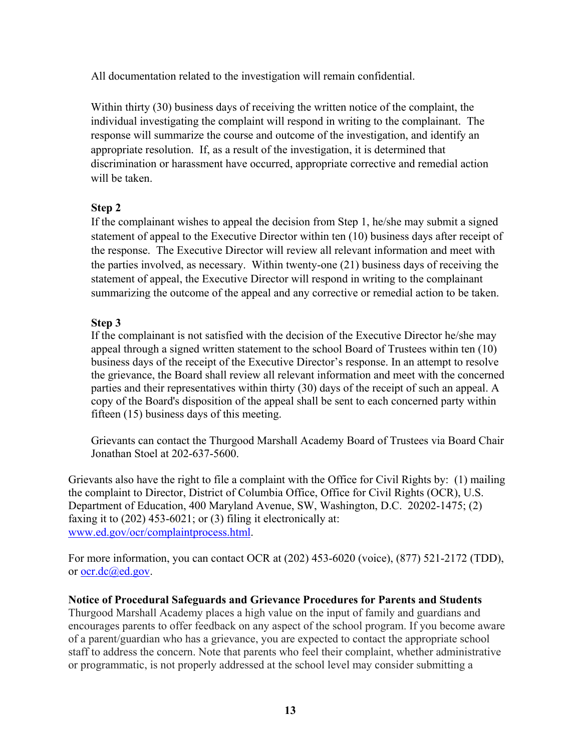All documentation related to the investigation will remain confidential.

Within thirty (30) business days of receiving the written notice of the complaint, the individual investigating the complaint will respond in writing to the complainant. The response will summarize the course and outcome of the investigation, and identify an appropriate resolution. If, as a result of the investigation, it is determined that discrimination or harassment have occurred, appropriate corrective and remedial action will be taken.

## **Step 2**

If the complainant wishes to appeal the decision from Step 1, he/she may submit a signed statement of appeal to the Executive Director within ten (10) business days after receipt of the response. The Executive Director will review all relevant information and meet with the parties involved, as necessary. Within twenty-one (21) business days of receiving the statement of appeal, the Executive Director will respond in writing to the complainant summarizing the outcome of the appeal and any corrective or remedial action to be taken.

# **Step 3**

If the complainant is not satisfied with the decision of the Executive Director he/she may appeal through a signed written statement to the school Board of Trustees within ten (10) business days of the receipt of the Executive Director's response. In an attempt to resolve the grievance, the Board shall review all relevant information and meet with the concerned parties and their representatives within thirty (30) days of the receipt of such an appeal. A copy of the Board's disposition of the appeal shall be sent to each concerned party within fifteen (15) business days of this meeting.

Grievants can contact the Thurgood Marshall Academy Board of Trustees via Board Chair Jonathan Stoel at 202-637-5600.

Grievants also have the right to file a complaint with the Office for Civil Rights by: (1) mailing the complaint to Director, District of Columbia Office, Office for Civil Rights (OCR), U.S. Department of Education, 400 Maryland Avenue, SW, Washington, D.C. 20202-1475; (2) faxing it to (202) 453-6021; or (3) filing it electronically at: www.ed.gov/ocr/complaintprocess.html.

For more information, you can contact OCR at (202) 453-6020 (voice), (877) 521-2172 (TDD), or ocr.dc@ed.gov.

### **Notice of Procedural Safeguards and Grievance Procedures for Parents and Students**

Thurgood Marshall Academy places a high value on the input of family and guardians and encourages parents to offer feedback on any aspect of the school program. If you become aware of a parent/guardian who has a grievance, you are expected to contact the appropriate school staff to address the concern. Note that parents who feel their complaint, whether administrative or programmatic, is not properly addressed at the school level may consider submitting a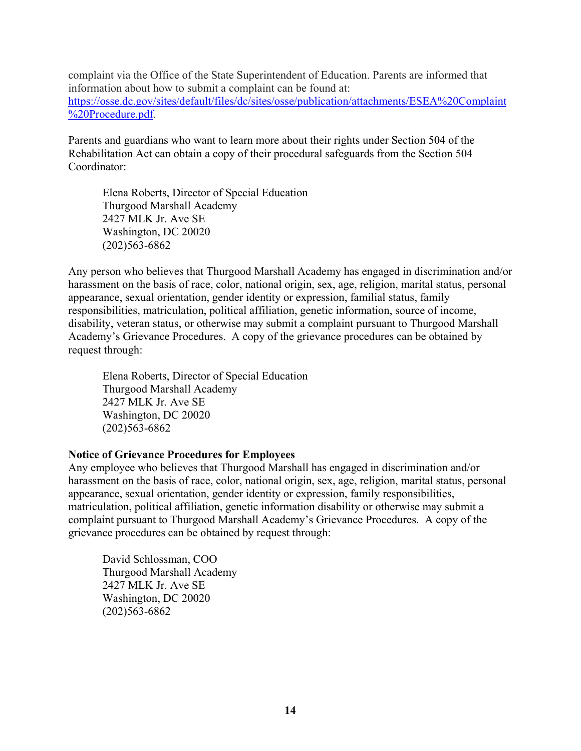complaint via the Office of the State Superintendent of Education. Parents are informed that information about how to submit a complaint can be found at: https://osse.dc.gov/sites/default/files/dc/sites/osse/publication/attachments/ESEA%20Complaint %20Procedure.pdf.

Parents and guardians who want to learn more about their rights under Section 504 of the Rehabilitation Act can obtain a copy of their procedural safeguards from the Section 504 Coordinator:

Elena Roberts, Director of Special Education Thurgood Marshall Academy 2427 MLK Jr. Ave SE Washington, DC 20020 (202)563-6862

Any person who believes that Thurgood Marshall Academy has engaged in discrimination and/or harassment on the basis of race, color, national origin, sex, age, religion, marital status, personal appearance, sexual orientation, gender identity or expression, familial status, family responsibilities, matriculation, political affiliation, genetic information, source of income, disability, veteran status, or otherwise may submit a complaint pursuant to Thurgood Marshall Academy's Grievance Procedures. A copy of the grievance procedures can be obtained by request through:

Elena Roberts, Director of Special Education Thurgood Marshall Academy 2427 MLK Jr. Ave SE Washington, DC 20020 (202)563-6862

#### **Notice of Grievance Procedures for Employees**

Any employee who believes that Thurgood Marshall has engaged in discrimination and/or harassment on the basis of race, color, national origin, sex, age, religion, marital status, personal appearance, sexual orientation, gender identity or expression, family responsibilities, matriculation, political affiliation, genetic information disability or otherwise may submit a complaint pursuant to Thurgood Marshall Academy's Grievance Procedures. A copy of the grievance procedures can be obtained by request through:

David Schlossman, COO Thurgood Marshall Academy 2427 MLK Jr. Ave SE Washington, DC 20020 (202)563-6862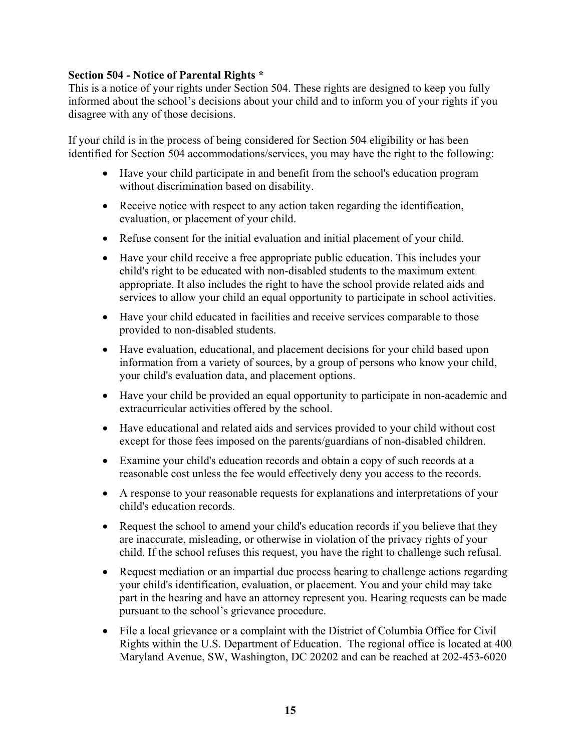#### **Section 504 - Notice of Parental Rights \***

This is a notice of your rights under Section 504. These rights are designed to keep you fully informed about the school's decisions about your child and to inform you of your rights if you disagree with any of those decisions.

If your child is in the process of being considered for Section 504 eligibility or has been identified for Section 504 accommodations/services, you may have the right to the following:

- Have your child participate in and benefit from the school's education program without discrimination based on disability.
- Receive notice with respect to any action taken regarding the identification, evaluation, or placement of your child.
- Refuse consent for the initial evaluation and initial placement of your child.
- Have your child receive a free appropriate public education. This includes your child's right to be educated with non-disabled students to the maximum extent appropriate. It also includes the right to have the school provide related aids and services to allow your child an equal opportunity to participate in school activities.
- Have your child educated in facilities and receive services comparable to those provided to non-disabled students.
- Have evaluation, educational, and placement decisions for your child based upon information from a variety of sources, by a group of persons who know your child, your child's evaluation data, and placement options.
- Have your child be provided an equal opportunity to participate in non-academic and extracurricular activities offered by the school.
- Have educational and related aids and services provided to your child without cost except for those fees imposed on the parents/guardians of non-disabled children.
- Examine your child's education records and obtain a copy of such records at a reasonable cost unless the fee would effectively deny you access to the records.
- A response to your reasonable requests for explanations and interpretations of your child's education records.
- Request the school to amend your child's education records if you believe that they are inaccurate, misleading, or otherwise in violation of the privacy rights of your child. If the school refuses this request, you have the right to challenge such refusal.
- Request mediation or an impartial due process hearing to challenge actions regarding your child's identification, evaluation, or placement. You and your child may take part in the hearing and have an attorney represent you. Hearing requests can be made pursuant to the school's grievance procedure.
- File a local grievance or a complaint with the District of Columbia Office for Civil Rights within the U.S. Department of Education. The regional office is located at 400 Maryland Avenue, SW, Washington, DC 20202 and can be reached at 202-453-6020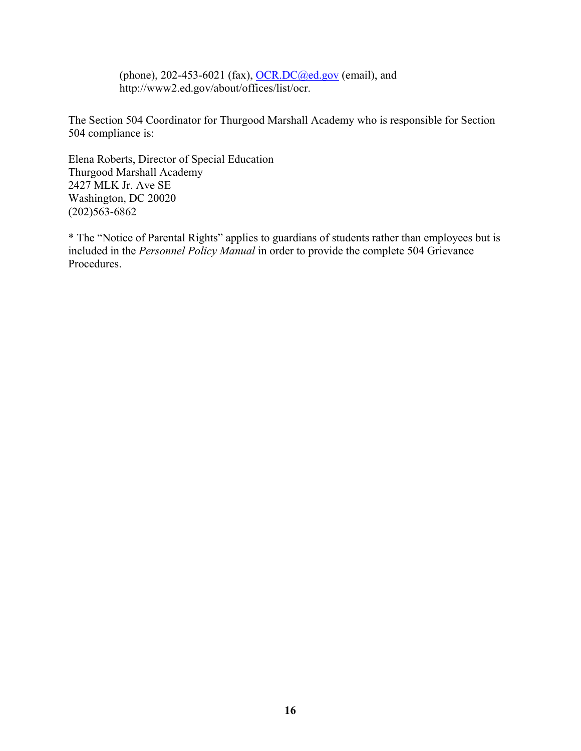(phone), 202-453-6021 (fax),  $OCR.DC@ed.gov$  (email), and http://www2.ed.gov/about/offices/list/ocr.

The Section 504 Coordinator for Thurgood Marshall Academy who is responsible for Section 504 compliance is:

Elena Roberts, Director of Special Education Thurgood Marshall Academy 2427 MLK Jr. Ave SE Washington, DC 20020 (202)563-6862

\* The "Notice of Parental Rights" applies to guardians of students rather than employees but is included in the *Personnel Policy Manual* in order to provide the complete 504 Grievance Procedures.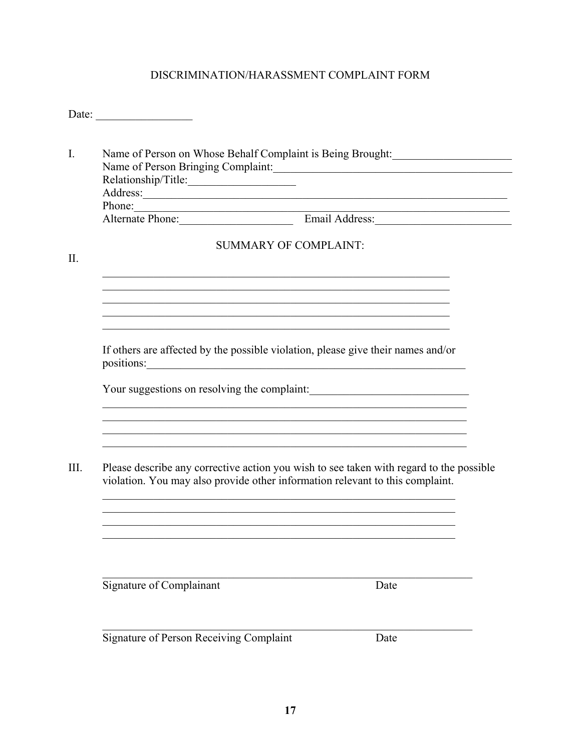# DISCRIMINATION/HARASSMENT COMPLAINT FORM

| Date:                                                                                                                                                                    |  |
|--------------------------------------------------------------------------------------------------------------------------------------------------------------------------|--|
| Name of Person on Whose Behalf Complaint is Being Brought: _____________________<br>Name of Person Bringing Complaint:                                                   |  |
| Relationship/Title:                                                                                                                                                      |  |
|                                                                                                                                                                          |  |
|                                                                                                                                                                          |  |
| Phone:<br>Alternate Phone: Email Address:                                                                                                                                |  |
| <b>SUMMARY OF COMPLAINT:</b>                                                                                                                                             |  |
| the control of the control of the control of the control of the control of the control of                                                                                |  |
| If others are affected by the possible violation, please give their names and/or                                                                                         |  |
| Your suggestions on resolving the complaint:                                                                                                                             |  |
| Please describe any corrective action you wish to see taken with regard to the possible<br>violation. You may also provide other information relevant to this complaint. |  |
| Signature of Complainant<br>Date                                                                                                                                         |  |
| Signature of Person Receiving Complaint<br>Date                                                                                                                          |  |